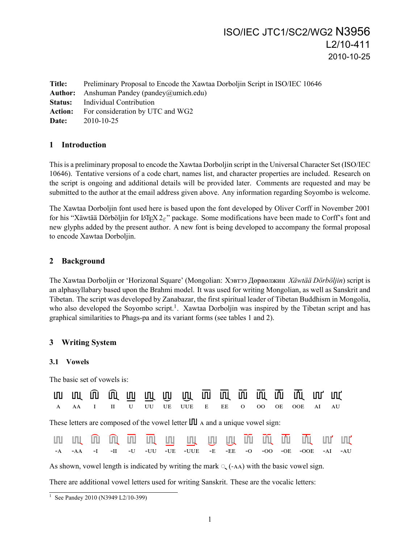# ISO/IEC JTC1/SC2/WG2 N3956 L2/10-411 2010-10-25

**Title:** Preliminary Proposal to Encode the Xawtaa Dorboljin Script in ISO/IEC 10646 **Author:** Anshuman Pandey (pandey@umich.edu) **Status:** Individual Contribution **Action:** For consideration by UTC and WG2 **Date:** 2010-10-25

# **1 Introduction**

This is a preliminary proposal to encode the Xawtaa Dorboljin script in the Universal Character Set (ISO/IEC 10646). Tentative versions of a code chart, names list, and character properties are included. Research on the script is ongoing and additional details will be provided later. Comments are requested and may be submitted to the author at the email address given above. Any information regarding Soyombo is welcome.

The Xawtaa Dorboljin font used here is based upon the font developed by Oliver Corff in November 2001 for his "Xäwtää Dörböljin for LATEX 2*ε*" package. Some modifications have been made to Corff's font and new glyphs added by the present author. A new font is being developed to accompany the formal proposal to encode Xawtaa Dorboljin.

# **2 Background**

The Xawtaa Dorboljin or 'Horizonal Square' (Mongolian: Хэвтээ Дөрвөлжин *Xäwtää Dörböljin*) script is an alphasyllabary based upon the Brahmi model. It was used for writing Mongolian, as well as Sanskrit and Tibetan. The script was developed by Zanabazar, the first spiritual leader of Tibetan Buddhism in Mongolia, who also developed the Soyombo script.<sup>1</sup>. Xawtaa Dorboljin was inspired by the Tibetan script and has graphical similarities to Phags-pa and its variant forms (see tables 1 and 2).

# **3 Writing System**

## **3.1 Vowels**

The basic set of vowels is:

|  |  |  | A AA I II U UU UE UUE E EE O OO OE OOE AI AU |  |  |  |  |
|--|--|--|----------------------------------------------|--|--|--|--|

These letters are composed of the vowel letter  $\text{III}$  and a unique vowel sign:

|  |  |  | ww. m m m m m m w w m m m m m m                              |  |  |  |  |
|--|--|--|--------------------------------------------------------------|--|--|--|--|
|  |  |  | -A -AA -I -II -U -UU -UE -UUE -E -EE -O -OO -OE -OOE -AI -AU |  |  |  |  |

As shown, vowel length is indicated by writing the mark  $\mathcal{L}$  (-AA) with the basic vowel sign.

There are additional vowel letters used for writing Sanskrit. These are the vocalic letters:

<sup>&</sup>lt;sup>1</sup> See Pandey 2010 (N3949 L2/10-399)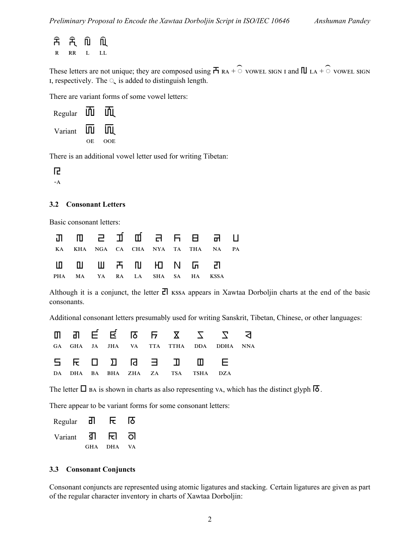| 움 | Ħ. | N | ΠÙ |
|---|----|---|----|
| R | RR | L | LL |

These letters are not unique; they are composed using  $\overline{H}$  RA +  $\widehat{\circ}$  vowel sign and  $\Pi$  LA +  $\widehat{\circ}$  vowel sign  $\mathbf{r}$ , respectively. The  $\mathbf{r}$  is added to distinguish length.

There are variant forms of some vowel letters:

| Regular | ШI  | ШJ  |
|---------|-----|-----|
| Variant | ÌПI | ÌШ  |
|         | OЕ  | OOE |

There is an additional vowel letter used for writing Tibetan:

Ŀ.

 $-A$ 

## **3.2 Consonant Letters**

Basic consonant letters:

|                                |  |  |  | KA KHA NGA CA CHA NYA TA THA NA PA |  |
|--------------------------------|--|--|--|------------------------------------|--|
| U U W F N HO N G EN            |  |  |  |                                    |  |
| PHA MA YA RA LA SHA SA HA KSSA |  |  |  |                                    |  |

Although it is a conjunct, the letter  $\overline{c}$  KSSA appears in Xawtaa Dorboljin charts at the end of the basic consonants.

Additional consonant letters presumably used for writing Sanskrit, Tibetan, Chinese, or other languages:

|  |  |  |                                                                                                                                                                                                                                                                                                                                                                             | m an É É no Fraza z z a                |  |
|--|--|--|-----------------------------------------------------------------------------------------------------------------------------------------------------------------------------------------------------------------------------------------------------------------------------------------------------------------------------------------------------------------------------|----------------------------------------|--|
|  |  |  |                                                                                                                                                                                                                                                                                                                                                                             | GA GHA JA JHA VA TTA TTHA DDA DDHA NNA |  |
|  |  |  | $5$ $\overline{E}$ $\overline{D}$ $\overline{D}$ $\overline{E}$ $\overline{D}$ $\overline{D}$ $\overline{E}$ $\overline{E}$ $\overline{E}$ $\overline{E}$ $\overline{E}$ $\overline{E}$ $\overline{E}$ $\overline{E}$ $\overline{E}$ $\overline{E}$ $\overline{E}$ $\overline{E}$ $\overline{E}$ $\overline{E}$ $\overline{E}$ $\overline{E}$ $\overline{E}$ $\overline{E}$ |                                        |  |
|  |  |  | DA DHA BA BHA ZHA ZA TSA TSHA DZA                                                                                                                                                                                                                                                                                                                                           |                                        |  |

The letter  $\Box$  BA is shown in charts as also representing vA, which has the distinct glyph  $\Box$ .

There appear to be variant forms for some consonant letters:

| Regular | ᆰ          |            | I9  |
|---------|------------|------------|-----|
| Variant | ा क        | ਸ਼ ਗ       |     |
|         | <b>GHA</b> | <b>DHA</b> | VA. |

## **3.3 Consonant Conjuncts**

Consonant conjuncts are represented using atomic ligatures and stacking. Certain ligatures are given as part of the regular character inventory in charts of Xawtaa Dorboljin: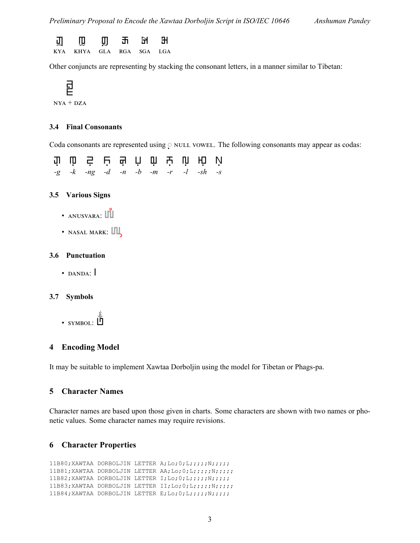

Other conjuncts are representing by stacking the consonant letters, in a manner similar to Tibetan:

$$
\mathbf{E}
$$

#### $NYA + DZA$

#### **3.4 Final Consonants**

Coda consonants are represented using  $\circ$  NULL VOWEL. The following consonants may appear as codas:

fi lù Ś Ⴞ ₦ ħ lh Ⴞ lù Hò lù *-g -k -ng -d -n -b -m -r -l -sh -s*

## **3.5 Various Signs**

- $\bullet$  ANUSVARA:  $\boxed{\parallel}$
- $\bullet$  NASAL MARK:  $\Box$

## **3.6 Punctuation**

 $\cdot$  DANDA:

#### **3.7 Symbols**

 $\cdot$  symbol:  $\overline{\mathbb{D}}$ 

## **4 Encoding Model**

It may be suitable to implement Xawtaa Dorboljin using the model for Tibetan or Phags-pa.

## **5 Character Names**

Character names are based upon those given in charts. Some characters are shown with two names or phonetic values. Some character names may require revisions.

## **6 Character Properties**

```
11B80;XAWTAA DORBOLJIN LETTER A;Lo;0;L;;;;;;N;;;;;
11B81;XAWTAA DORBOLJIN LETTER AA;Lo;0;L;;;;;N;;;;;
11B82;XAWTAA DORBOLJIN LETTER I;Lo;0;L;;;;;N;;;;;
11B83;XAWTAA DORBOLJIN LETTER II;Lo;0;L;;;;;N;;;;;
11B84;XAWTAA DORBOLJIN LETTER E;Lo;0;L;;;;;N;;;;;
```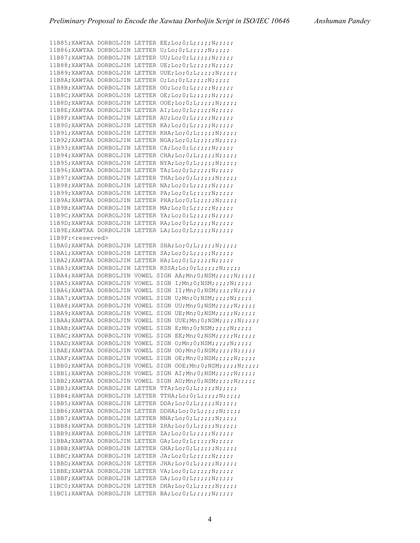11B85; XAWTAA DORBOLJIN LETTER EE; Lo; 0; L;;;;; N;;;;;; 11B86;XAWTAA DORBOLJIN LETTER U;Lo;0;L;;;;;N;;;;; 11B87;XAWTAA DORBOLJIN LETTER UU;Lo;0;L;;;;;;;;;;;;;;;;; 11B88;XAWTAA DORBOLJIN LETTER UE;Lo;0;L;;;;;;;;;;;; 11B89;XAWTAA DORBOLJIN LETTER UUE;Lo;0;L;;;;;;N;;;;; 11B8A;XAWTAA DORBOLJIN LETTER O;Lo;0;L;;;;;N;;;;; 11B8B;XAWTAA DORBOLJIN LETTER OO;Lo;0;L;;;;;;N;;;;; 11B8C;XAWTAA DORBOLJIN LETTER OE;Lo;0;L;;;;;N;;;;; 11B8D;XAWTAA DORBOLJIN LETTER OOE;Lo;0;L;;;;;N;;;;; 11B8E;XAWTAA DORBOLJIN LETTER AI;Lo;0;L;;;;;N;;;;; 11B8F;XAWTAA DORBOLJIN LETTER AU;Lo;0;L;;;;;;N;;;;; 11B90;XAWTAA DORBOLJIN LETTER KA;Lo;0;L;;;;;;;;;;;; 11B91;XAWTAA DORBOLJIN LETTER KHA;Lo;0;L;;;;;N;;;;; 11B92;XAWTAA DORBOLJIN LETTER NGA;Lo;0;L;;;;;N;;;;; 11B93;XAWTAA DORBOLJIN LETTER CA;Lo;0;L;;;;;N;;;;; 11B94;XAWTAA DORBOLJIN LETTER CHA;Lo;0;L;;;;;;N;;;;; 11B95;XAWTAA DORBOLJIN LETTER NYA;Lo;0;L;;;;;N;;;;; 11B96;XAWTAA DORBOLJIN LETTER TA;Lo;0;L;;;;;;;;;;;; 11B97;XAWTAA DORBOLJIN LETTER THA;Lo;0;L;;;;;N;;;;; 11B98;XAWTAA DORBOLJIN LETTER NA;Lo;0;L;;;;;N;;;;; 11B99;XAWTAA DORBOLJIN LETTER PA;Lo;0;L;;;;;N;;;;; 11B9A;XAWTAA DORBOLJIN LETTER PHA;Lo;0;L;;;;;N;;;;; 11B9B;XAWTAA DORBOLJIN LETTER MA;Lo;0;L;;;;;N;;;;; 11B9C;XAWTAA DORBOLJIN LETTER YA;Lo;0;L;;;;;;N;;;;; 11B9D;XAWTAA DORBOLJIN LETTER RA;Lo;0;L;;;;;;;;;;;; 11B9E;XAWTAA DORBOLJIN LETTER LA;Lo;0;L;;;;;N;;;;; 11B9F:<reserved> 11BA0;XAWTAA DORBOLJIN LETTER SHA;Lo;0;L;;;;;N;;;;; 11BA1;XAWTAA DORBOLJIN LETTER SA;Lo;0;L;;;;;N;;;;; 11BA2;XAWTAA DORBOLJIN LETTER HA;Lo;0;L;;;;;;;;;;;;; 11BA3;XAWTAA DORBOLJIN LETTER KSSA;Lo;0;L;;;;;;;;;;;;; 11BA4;XAWTAA DORBOLJIN VOWEL SIGN AA;Mn;0;NSM;;;;;N;;;;; 11BA5;XAWTAA DORBOLJIN VOWEL SIGN I;Mn;0;NSM;;;;;N;;;;; 11BA6;XAWTAA DORBOLJIN VOWEL SIGN II;Mn;0;NSM;;;;;N;;;;; 11BA7;XAWTAA DORBOLJIN VOWEL SIGN U;Mn;0;NSM;;;;;N;;;;; 11BA8;XAWTAA DORBOLJIN VOWEL SIGN UU;Mn;0;NSM;;;;;N;;;;; 11BA9;XAWTAA DORBOLJIN VOWEL SIGN UE;Mn;0;NSM;;;;;N;;;;; 11BAA;XAWTAA DORBOLJIN VOWEL SIGN UUE;Mn;0;NSM;;;;;N;;;;; 11BAB;XAWTAA DORBOLJIN VOWEL SIGN E;Mn;0;NSM;;;;;N;;;;; 11BAC;XAWTAA DORBOLJIN VOWEL SIGN EE;Mn;0;NSM;;;;;N;;;;; 11BAD;XAWTAA DORBOLJIN VOWEL SIGN O;Mn;0;NSM;;;;;N;;;;; 11BAE;XAWTAA DORBOLJIN VOWEL SIGN OO;Mn;0;NSM;;;;;N;;;;; 11BAF;XAWTAA DORBOLJIN VOWEL SIGN OE;Mn;0;NSM;;;;;N;;;;; 11BB0;XAWTAA DORBOLJIN VOWEL SIGN OOE;Mn;0;NSM;;;;;N;;;;; 11BB1;XAWTAA DORBOLJIN VOWEL SIGN AI;Mn;0;NSM;;;;;N;;;;; 11BB2;XAWTAA DORBOLJIN VOWEL SIGN AU;Mn;0;NSM;;;;;N;;;;; 11BB3;XAWTAA DORBOLJIN LETTER TTA;Lo;0;L;;;;;N;;;;; 11BB4;XAWTAA DORBOLJIN LETTER TTHA;Lo;0;L;;;;;N;;;;; 11BB5;XAWTAA DORBOLJIN LETTER DDA;Lo;0;L;;;;;;;;;;;;;; 11BB6;XAWTAA DORBOLJIN LETTER DDHA;Lo;0;L;;;;;N;;;;; 11BB7;XAWTAA DORBOLJIN LETTER NNA;Lo;0;L;;;;;;;;;;;;; 11BB8;XAWTAA DORBOLJIN LETTER ZHA;Lo;0;L;;;;;;N;;;;; 11BB9;XAWTAA DORBOLJIN LETTER ZA;Lo;0;L;;;;;N;;;;; 11BBA;XAWTAA DORBOLJIN LETTER GA;Lo;0;L;;;;;N;;;;; 11BBB;XAWTAA DORBOLJIN LETTER GHA;Lo;0;L;;;;;N;;;;; 11BBC;XAWTAA DORBOLJIN LETTER JA;Lo;0;L;;;;;N;;;;; 11BBD;XAWTAA DORBOLJIN LETTER JHA;Lo;0;L;;;;;;N;;;;; 11BBE;XAWTAA DORBOLJIN LETTER VA;Lo;0;L;;;;;;;;;;;; 11BBF;XAWTAA DORBOLJIN LETTER DA;Lo;0;L;;;;;;;;;;;; 11BC0;XAWTAA DORBOLJIN LETTER DHA;Lo;0;L;;;;;N;;;;; 11BC1;XAWTAA DORBOLJIN LETTER BA;Lo;0;L;;;;;N;;;;;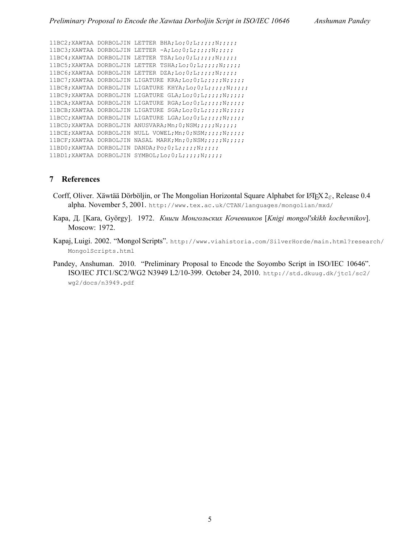```
11BC2;XAWTAA DORBOLJIN LETTER BHA;Lo;0;L;;;;;N;;;;;
11BC3; XAWTAA DORBOLJIN LETTER -A;Lo; 0;L;;;;;N;;;;;
11BC4;XAWTAA DORBOLJIN LETTER TSA;Lo;0;L;;;;;;N;;;;;
11BC5;XAWTAA DORBOLJIN LETTER TSHA;Lo;0;L;;;;;N;;;;;
11BC6;XAWTAA DORBOLJIN LETTER DZA;Lo;0;L;;;;;;N;;;;;
11BC7;XAWTAA DORBOLJIN LIGATURE KRA;Lo;0;L;;;;;N;;;;;
11BC8;XAWTAA DORBOLJIN LIGATURE KHYA;Lo;0;L;;;;;N;;;;;
11BC9;XAWTAA DORBOLJIN LIGATURE GLA;Lo;0;L;;;;;N;;;;;
11BCA;XAWTAA DORBOLJIN LIGATURE RGA;Lo;0;L;;;;;;;;;;;;
11BCB;XAWTAA DORBOLJIN LIGATURE SGA;Lo;0;L;;;;;N;;;;;
11BCC;XAWTAA DORBOLJIN LIGATURE LGA;Lo;0;L;;;;;N;;;;;
11BCD;XAWTAA DORBOLJIN ANUSVARA;Mn;0;NSM;;;;;N;;;;;
11BCE;XAWTAA DORBOLJIN NULL VOWEL;Mn;0;NSM;;;;;N;;;;;
11BCF;XAWTAA DORBOLJIN NASAL MARK;Mn;0;NSM;;;;;N;;;;;
11BD0;XAWTAA DORBOLJIN DANDA;Po;0;L;;;;;N;;;;;
11BD1;XAWTAA DORBOLJIN SYMBOL;Lo;0;L;;;;;N;;;;;
```
## **7 References**

- Corff, Oliver. Xäwtää Dörböljin, or The Mongolian Horizontal Square Alphabet for LAT<sub>E</sub>X 2<sub>ε</sub>, Release 0.4 alpha. November 5, 2001. http://www.tex.ac.uk/CTAN/languages/mongolian/mxd/
- Кара, Д. [Kara, György]. 1972. *Книги Монгольских Кочевников* [*Knigi mongolʹskikh kochevnikov*]. Moscow: 1972.
- Kapaj, Luigi. 2002. "Mongol Scripts". http://www.viahistoria.com/SilverHorde/main.html?research/ MongolScripts.html
- Pandey, Anshuman. 2010. "Preliminary Proposal to Encode the Soyombo Script in ISO/IEC 10646". ISO/IEC JTC1/SC2/WG2 N3949 L2/10-399. October 24, 2010. http://std.dkuug.dk/jtc1/sc2/ wg2/docs/n3949.pdf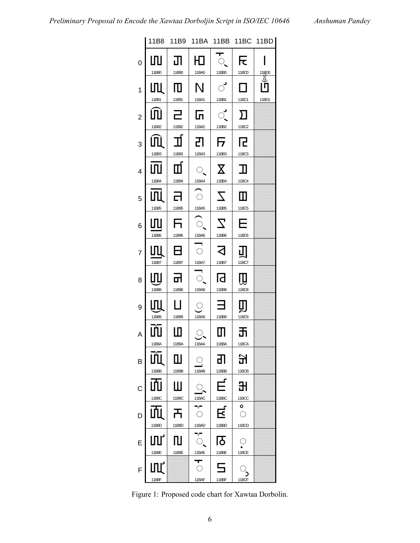

Figure 1: Proposed code chart for Xawtaa Dorbolin.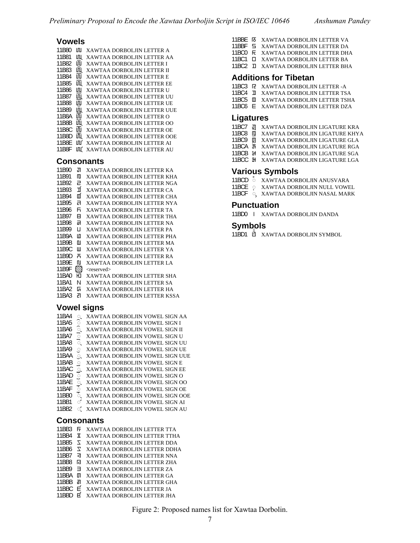## **Vowels**

11B80 XAWTAA DORBOLJIN LETTER A 11B81 XAWTAA DORBOLJIN LETTER AA 11B82 XAWTAA DORBOLJIN LETTER I 11B83 IL XAWTAA DORBOLJIN LETTER II 11B84  $\overline{III}$  XAWTAA DORBOLJIN LETTER E 11B85  $\overline{III}$  XAWTAA DORBOLJIN LETTER EE 11B86 III XAWTAA DORBOLJIN LETTER U 11B87  $\overline{M}$  XAWTAA DORBOLJIN LETTER UU 11B88 **III XAWTAA DORBOLJIN LETTER UE 11B89 UL XAWTAA DORBOLJIN LETTER UUE** 11B8A UU XAWTAA DORBOLJIN LETTER O 11B8B XAWTAA DORBOLJIN LETTER OO 11B8C XAWTAA DORBOLJIN LETTER OE 11B8D  $\overline{m}$  XAWTAA DORBOLJIN LETTER OOE 11B8E XAWTAA DORBOLJIN LETTER AI 11B8F III XAWTAA DORBOLJIN LETTER AU

### **Consonants**

11B90 XAWTAA DORBOLJIN LETTER KA 11B91 XAWTAA DORBOLJIN LETTER KHA 11B92 **2** XAWTAA DORBOLJIN LETTER NGA 11B93  $\vec{\mathbf{I}}$  XAWTAA DORBOLJIN LETTER CA 11B94  $\Box$  XAWTAA DORBOLJIN LETTER CHA 11B95 XAWTAA DORBOLJIN LETTER NYA 11B96 XAWTAA DORBOLJIN LETTER TA 11B97 XAWTAA DORBOLJIN LETTER THA 11B98 **a** XAWTAA DORBOLJIN LETTER NA 11B99 XAWTAA DORBOLJIN LETTER PA 11B9A XAWTAA DORBOLJIN LETTER PHA 11B9B XAWTAA DORBOLJIN LETTER MA 11B9C **II** XAWTAA DORBOLJIN LETTER YA 11B9D XAWTAA DORBOLJIN LETTER RA 11B9E XAWTAA DORBOLJIN LETTER LA 11B9F  $\aleph$  <reserved> 11BA0 XAWTAA DORBOLJIN LETTER SHA 11BA1 XAWTAA DORBOLJIN LETTER SA 11BA2 **G** XAWTAA DORBOLJIN LETTER HA 11BA3 XAWTAA DORBOLJIN LETTER KSSA

## **Vowel signs**

| 11BA4 | O,          | XAWTAA DORBOLJIN VOWEL SIGN AA        |
|-------|-------------|---------------------------------------|
| 11BA5 | ि           | XAWTAA DORBOLJIN VOWEL SIGN I         |
| 11BA6 | િ.          | XAWTAA DORBOLJIN VOWEL SIGN II        |
| 11BA7 | ö           | XAWTAA DORBOLJIN VOWEL SIGN U         |
| 11BA8 | ö.          | XAWTAA DORBOLJIN VOWEL SIGN UU        |
| 11BA9 | $\circ$     | XAWTAA DORBOLJIN VOWEL SIGN UE        |
| 11BAA | Q           | XAWTAA DORBOLJIN VOWEL SIGN UUE       |
| 11BAB | $\mathbf Q$ | XAWTAA DORBOLJIN VOWEL SIGN E         |
| 11BAC | Ó.          | <b>XAWTAA DORBOLJIN VOWEL SIGN EE</b> |
| 11BAD | ॅ           | XAWTAA DORBOLJIN VOWEL SIGN O         |
| 11BAF | Ò.          | XAWTAA DORBOLJIN VOWEL SIGN OO        |
| 11BAF | ॆ           | XAWTAA DORBOLJIN VOWEL SIGN OE        |
| 11BB0 | ठ           | XAWTAA DORBOLJIN VOWEL SIGN OOE       |
| 11BB1 | ്           | XAWTAA DORBOLJIN VOWEL SIGN AI        |
| 11BB2 | ്           | XAWTAA DORBOLJIN VOWEL SIGN AU        |
|       |             |                                       |

### **Consonants**

|      | XAWTAA DORBOLJIN LETTER TTA  |
|------|------------------------------|
|      | XAWTAA DORBOLJIN LETTER TTHA |
| ᅐ    | XAWTAA DORBOLJIN LETTER DDA  |
| 7    | XAWTAA DORBOLJIN LETTER DDHA |
| র    | XAWTAA DORBOLJIN LETTER NNA  |
| ति   | XAWTAA DORBOLJIN LETTER ZHA  |
| ╕    | XAWTAA DORBOLJIN LETTER ZA   |
| Ш    | XAWTAA DORBOLJIN LETTER GA   |
| ᇒ    | XAWTAA DORBOLJIN LETTER GHA  |
| ⊨    | XAWTAA DORBOLJIN LETTER JA   |
| र्दि | XAWTAA DORBOLJIN LETTER JHA  |
|      |                              |

- 11BBE XAWTAA DORBOLJIN LETTER VA
- 11BBF XAWTAA DORBOLJIN LETTER DA
- 11BC0 XAWTAA DORBOLJIN LETTER DHA
- 11BC1 XAWTAA DORBOLJIN LETTER BA
- 11BC2 XAWTAA DORBOLJIN LETTER BHA

#### **Additions for Tibetan**

- 11BC3 R XAWTAA DORBOLJIN LETTER -A
- 11BC4 XAWTAA DORBOLJIN LETTER TSA
- 11BC5  $\Box$  XAWTAA DORBOLJIN LETTER TSHA
- 11BC6 XAWTAA DORBOLJIN LETTER DZA

#### **Ligatures**

- 11BC7 J XAWTAA DORBOLJIN LIGATURE KRA
- 11BC8 XAWTAA DORBOLJIN LIGATURE KHYA
- 11BC9 XAWTAA DORBOLJIN LIGATURE GLA
- 11BCA XAWTAA DORBOLJIN LIGATURE RGA
- 11BCB XAWTAA DORBOLJIN LIGATURE SGA
- 11BCC XAWTAA DORBOLJIN LIGATURE LGA

## **Various Symbols**

- 11BCD  $\degree$  XAWTAA DORBOLJIN ANUSVARA
- 11BCE  $\degree$  XAWTAA DORBOLJIN NULL VOWEL
- 11BCF Q XAWTAA DORBOLJIN NASAL MARK

#### **Punctuation**

11BD0 XAWTAA DORBOLJIN DANDA

### **Symbols**

11BD1 XAWTAA DORBOLJIN SYMBOL

Figure 2: Proposed names list for Xawtaa Dorbolin.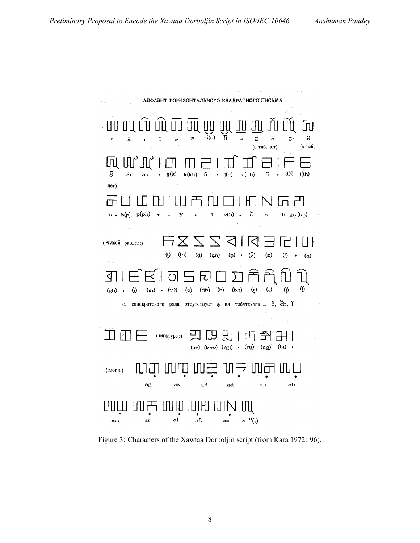$\mathcal{O}(\mathcal{O}(2\pi))$  . We

| АЛФАВИТ ГОРИЗОНТАЛЬНОГО КВАДРАТНОГО ПИСЬМА                                                                                                 |
|--------------------------------------------------------------------------------------------------------------------------------------------|
|                                                                                                                                            |
| un un án nú un un ún hú an mí nú nú ca                                                                                                     |
| $\widetilde{u}(u)$<br>$\overline{e}$<br>៊<br>$\overline{5}$ .<br>$\vec{u}$<br>$\circ$<br>ã.<br>i<br>ĩ<br>a<br>e<br>(в тиб. нет)<br>(в тиб. |
| 呵 叫叫 回<br>$\Box$                                                                                                                           |
| . g(k)<br>$\cdot$ $j(c)$<br>c(ch)<br>d(t)<br>t(th)<br>ā.<br>k(kh)<br>$\mathbf{\dot{n}}$<br>ñ<br>$\ddot{\mathbf{a}}$<br>au                  |
| нет)                                                                                                                                       |
| 11 F T<br>$N$ $\ln$ $t$                                                                                                                    |
| $\mathsf{\check{s}}$<br>$n$ . b(p) $p(ph)$<br>$v(b)$ .<br>$h$ gs $(ks)$<br>$\mathbf{1}$<br>$\mathsf{m}$<br>У<br>r<br>$\mathbf{s}$          |
|                                                                                                                                            |
| 日日 区 マ マ ス ス ス ヨ<br>("чужой" раздел:)                                                                                                      |
| $(f)$ $(fh)$ $(g)$ $(gh)$ $(h)$ $(f)$<br>$\binom{v}{z}$<br>(z)<br>$\left( \cdot \right)$<br>(g)                                            |
| 311 E E 1 T 5 F 0 0 0 1 A A N                                                                                                              |
| (d) (dh) (b) (bh) (r) (r) (l)<br>$\left( \mathbf{r} \right)$<br>(j) (jh) $(v?)$<br>(gh) •                                                  |
| из санскритского ряда отсутствует э, из тибетского - с, сп, ј                                                                              |
|                                                                                                                                            |
|                                                                                                                                            |
| $(kr)$ $(khy)$ $(?gl)$ $(rg)$ $(sg)$<br>$(lg)$ .                                                                                           |
| MJ MD M2 MF M7 MU<br>(слоги:)                                                                                                              |
| ag<br>ak<br>an<br>ab<br>ad<br>an                                                                                                           |
|                                                                                                                                            |
| IN产INN MH NN IN                                                                                                                            |
| aš<br>$a^{n}(2)$<br>al<br>ar<br>as<br>am                                                                                                   |

Figure 3: Characters of the Xawtaa Dorboljin script (from Kara 1972: 96).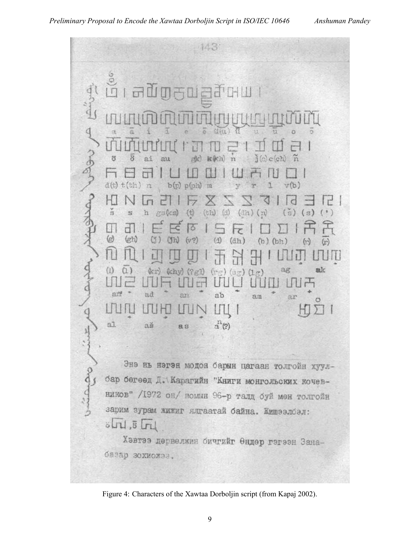

Figure 4: Characters of the Xawtaa Dorboljin script (from Kapaj 2002).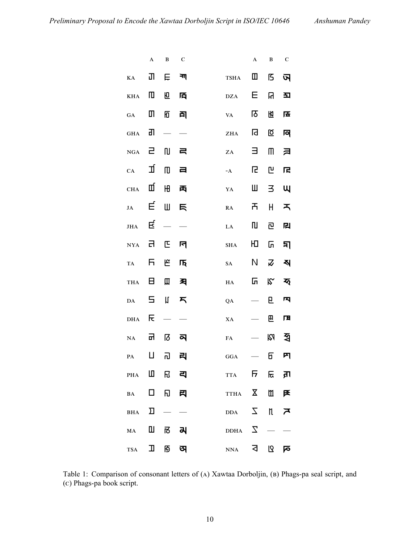|                                  | $\boldsymbol{\rm{A}}$ | $\, {\bf B}$ | $\mathbf C$ |                                  | $\mathbf A$   | $\, {\bf B}$     | $\mathbf C$  |
|----------------------------------|-----------------------|--------------|-------------|----------------------------------|---------------|------------------|--------------|
| $\mathbf{K}\mathbf{A}$           | Π                     | Ë            | ना          | <b>TSHA</b>                      | Ш             | ß                | অ            |
| KHA                              | Ш                     | 但            | 襾           | $\mathbf{D}\mathbf{Z}\mathbf{A}$ | Е             | R                | 푀            |
| GA                               | Щ                     | 冋            | 司           | VA                               | ाठ            | 冏                | 压            |
| <b>GHA</b>                       | ग                     |              |             | ZHA                              | 同             | ⊠                | 冋            |
| NGA                              | ㄹ                     | N            | 弓           | ZA                               | Ξ             | M                | ヨ            |
| CA                               | 卫                     | 吅            | 彐           | $\texttt{-A}$                    | Ŀ.            | 凹                | 尾            |
| <b>CHA</b>                       | Щ                     | Ю            | 禹           | ${\bf YA}$                       | Ш             | 3.               | Щ            |
| JA                               | Ę                     | Ш            |             | ${\bf RA}$                       | 币             | H.               | ᅐ            |
| JHA                              | Ę                     |              |             | ${\rm LA}$                       | III           | 包                | 囘            |
| <b>NYA</b>                       | Ы                     | 匞            | ान          | <b>SHA</b>                       | ЮL            | ს.               | 되            |
| <b>TA</b>                        | Б,                    | ٣            | 厄           | SA                               | N.            | $\boldsymbol{z}$ | 직            |
| THA                              | 日 -                   | Щ            | 习           | $_{\rm HA}$                      | ᇚ             | $\mathcal{R}$    | ক্           |
| DA                               | 5                     | Ц            | 丂           | QA                               |               | Е.               | 囚            |
| $\mathbf{D}\mathbf{H}\mathbf{A}$ | に                     |              |             | XA                               |               | 巴                | 圧            |
| NA                               | 品                     | छि           | ন           | ${\bf FA}$                       |               | M                | ৰ্শ্ব        |
| ${\bf PA}$                       | П                     | ٦J           | 리           | $_{\mathrm{GGA}}$                |               | б                | 内            |
| PHA LO R 리                       |                       |              |             | <b>TTA</b>                       |               | नि हि ज्ञा       |              |
| $BA$ $\Box$                      |                       |              | 日 司         | TTHA X 11 F                      |               |                  |              |
| BHA D                            |                       |              |             | <b>DDA</b>                       | $\mathcal{I}$ | $\mathfrak n$    | $\mathbf{z}$ |
| MA H N N                         |                       |              |             | DDHA $\Sigma$                    |               |                  |              |
| $TSA$ $\Box$                     |                       |              |             | <b>NNA</b>                       | ব             | ـ ۱۵             | ਕ            |

Table 1: Comparison of consonant letters of (A) Xawtaa Dorboljin, (B) Phags-pa seal script, and () Phags-pa book script.